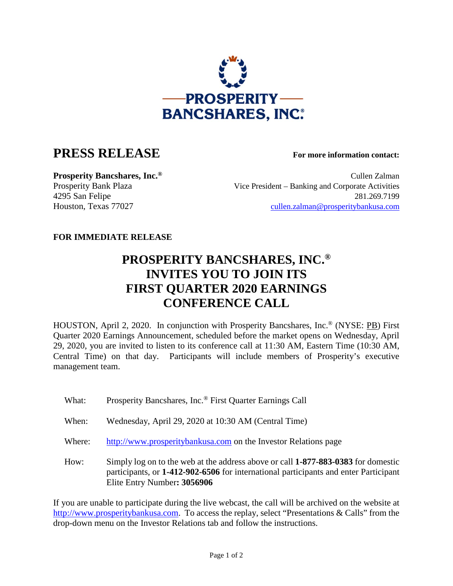

## **PRESS RELEASE For more information contact:**

**Prosperity Bancshares, Inc.<sup>®</sup> Cullen Zalman** Cullen Zalman Prosperity Bank Plaza Vice President – Banking and Corporate Activities 4295 San Felipe 281.269.7199 Houston, Texas 77027 [cullen.zalman@prosperitybankusa.com](mailto:cullen.zalman@prosperitybankusa.com)

## **FOR IMMEDIATE RELEASE**

## **PROSPERITY BANCSHARES, INC.® INVITES YOU TO JOIN ITS FIRST QUARTER 2020 EARNINGS CONFERENCE CALL**

HOUSTON, April 2, 2020. In conjunction with Prosperity Bancshares, Inc.® (NYSE: PB) First Quarter 2020 Earnings Announcement, scheduled before the market opens on Wednesday, April 29, 2020, you are invited to listen to its conference call at 11:30 AM, Eastern Time (10:30 AM, Central Time) on that day. Participants will include members of Prosperity's executive management team.

- What: Prosperity Bancshares, Inc.<sup>®</sup> First Quarter Earnings Call
- When: Wednesday, April 29, 2020 at 10:30 AM (Central Time)
- Where: http://www.prosperitybankusa.com on the Investor Relations page
- How: Simply log on to the web at the address above or call **1-877-883-0383** for domestic participants, or **1-412-902-6506** for international participants and enter Participant Elite Entry Number**: 3056906**

If you are unable to participate during the live webcast, the call will be archived on the website at http://www.prosperitybankusa.com. To access the replay, select "Presentations & Calls" from the drop-down menu on the Investor Relations tab and follow the instructions.